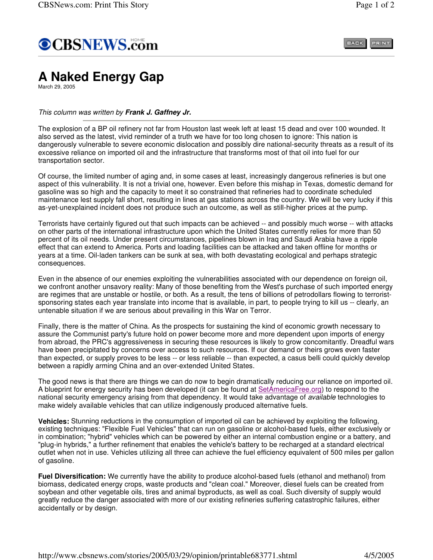

BACK PRINT

## **A Naked Energy Gap**

March 29, 2005

## *This column was written by Frank J. Gaffney Jr.*

The explosion of a BP oil refinery not far from Houston last week left at least 15 dead and over 100 wounded. It also served as the latest, vivid reminder of a truth we have for too long chosen to ignore: This nation is dangerously vulnerable to severe economic dislocation and possibly dire national-security threats as a result of its excessive reliance on imported oil and the infrastructure that transforms most of that oil into fuel for our transportation sector.

Of course, the limited number of aging and, in some cases at least, increasingly dangerous refineries is but one aspect of this vulnerability. It is not a trivial one, however. Even before this mishap in Texas, domestic demand for gasoline was so high and the capacity to meet it so constrained that refineries had to coordinate scheduled maintenance lest supply fall short, resulting in lines at gas stations across the country. We will be very lucky if this as-yet-unexplained incident does not produce such an outcome, as well as still-higher prices at the pump.

Terrorists have certainly figured out that such impacts can be achieved -- and possibly much worse -- with attacks on other parts of the international infrastructure upon which the United States currently relies for more than 50 percent of its oil needs. Under present circumstances, pipelines blown in Iraq and Saudi Arabia have a ripple effect that can extend to America. Ports and loading facilities can be attacked and taken offline for months or years at a time. Oil-laden tankers can be sunk at sea, with both devastating ecological and perhaps strategic consequences.

Even in the absence of our enemies exploiting the vulnerabilities associated with our dependence on foreign oil, we confront another unsavory reality: Many of those benefiting from the West's purchase of such imported energy are regimes that are unstable or hostile, or both. As a result, the tens of billions of petrodollars flowing to terroristsponsoring states each year translate into income that is available, in part, to people trying to kill us -- clearly, an untenable situation if we are serious about prevailing in this War on Terror.

Finally, there is the matter of China. As the prospects for sustaining the kind of economic growth necessary to assure the Communist party's future hold on power become more and more dependent upon imports of energy from abroad, the PRC's aggressiveness in securing these resources is likely to grow concomitantly. Dreadful wars have been precipitated by concerns over access to such resources. If our demand or theirs grows even faster than expected, or supply proves to be less -- or less reliable -- than expected, a casus belli could quickly develop between a rapidly arming China and an over-extended United States.

The good news is that there are things we can do now to begin dramatically reducing our reliance on imported oil. A blueprint for energy security has been developed (it can be found at SetAmericaFree.org) to respond to the national security emergency arising from that dependency. It would take advantage of *available* technologies to make widely available vehicles that can utilize indigenously produced alternative fuels.

**Vehicles:** Stunning reductions in the consumption of imported oil can be achieved by exploiting the following, existing techniques: "Flexible Fuel Vehicles" that can run on gasoline or alcohol-based fuels, either exclusively or in combination; "hybrid" vehicles which can be powered by either an internal combustion engine or a battery, and "plug-in hybrids," a further refinement that enables the vehicle's battery to be recharged at a standard electrical outlet when not in use. Vehicles utilizing all three can achieve the fuel efficiency equivalent of 500 miles per gallon of gasoline.

**Fuel Diversification:** We currently have the ability to produce alcohol-based fuels (ethanol and methanol) from biomass, dedicated energy crops, waste products and "clean coal." Moreover, diesel fuels can be created from soybean and other vegetable oils, tires and animal byproducts, as well as coal. Such diversity of supply would greatly reduce the danger associated with more of our existing refineries suffering catastrophic failures, either accidentally or by design.